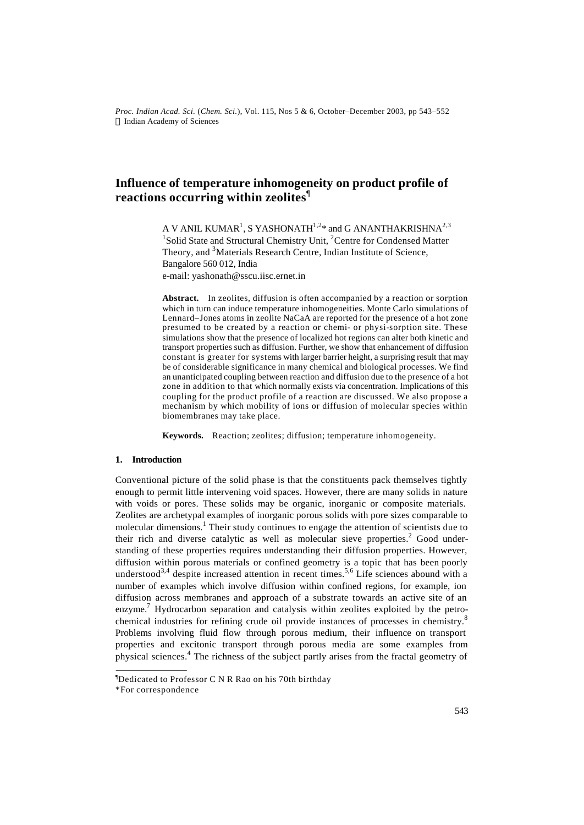*Proc. Indian Acad. Sci.* (*Chem. Sci.*), Vol. 115, Nos 5 & 6, October–December 2003, pp 543–552  $©$  Indian Academy of Sciences

# **Influence of temperature inhomogeneity on product profile of reactions occurring within zeolites**¶

A V ANIL KUMAR $^{1}$ , S YASHONATH $^{1,2\ast}$  and G ANANTHAKRISHNA $^{2,3}$ <sup>1</sup>Solid State and Structural Chemistry Unit, <sup>2</sup>Centre for Condensed Matter Theory, and <sup>3</sup>Materials Research Centre, Indian Institute of Science, Bangalore 560 012, India e-mail: yashonath@sscu.iisc.ernet.in

**Abstract.** In zeolites, diffusion is often accompanied by a reaction or sorption which in turn can induce temperature inhomogeneities. Monte Carlo simulations of Lennard–Jones atoms in zeolite NaCaA are reported for the presence of a hot zone presumed to be created by a reaction or chemi- or physi-sorption site. These simulations show that the presence of localized hot regions can alter both kinetic and transport properties such as diffusion. Further, we show that enhancement of diffusion constant is greater for systems with larger barrier height, a surprising result that may be of considerable significance in many chemical and biological processes. We find an unanticipated coupling between reaction and diffusion due to the presence of a hot zone in addition to that which normally exists via concentration. Implications of this coupling for the product profile of a reaction are discussed. We also propose a mechanism by which mobility of ions or diffusion of molecular species within biomembranes may take place.

**Keywords.** Reaction; zeolites; diffusion; temperature inhomogeneity.

### **1. Introduction**

Conventional picture of the solid phase is that the constituents pack themselves tightly enough to permit little intervening void spaces. However, there are many solids in nature with voids or pores. These solids may be organic, inorganic or composite materials. Zeolites are archetypal examples of inorganic porous solids with pore sizes comparable to molecular dimensions.<sup>1</sup> Their study continues to engage the attention of scientists due to their rich and diverse catalytic as well as molecular sieve properties.<sup>2</sup> Good understanding of these properties requires understanding their diffusion properties. However, diffusion within porous materials or confined geometry is a topic that has been poorly understood<sup>3,4</sup> despite increased attention in recent times.<sup>5,6</sup> Life sciences abound with a number of examples which involve diffusion within confined regions, for example, ion diffusion across membranes and approach of a substrate towards an active site of an enzyme.<sup>7</sup> Hydrocarbon separation and catalysis within zeolites exploited by the petrochemical industries for refining crude oil provide instances of processes in chemistry.<sup>8</sup> Problems involving fluid flow through porous medium, their influence on transport properties and excitonic transport through porous media are some examples from physical sciences.<sup>4</sup> The richness of the subject partly arises from the fractal geometry of

<sup>¶</sup>Dedicated to Professor C N R Rao on his 70th birthday

<sup>\*</sup>For correspondence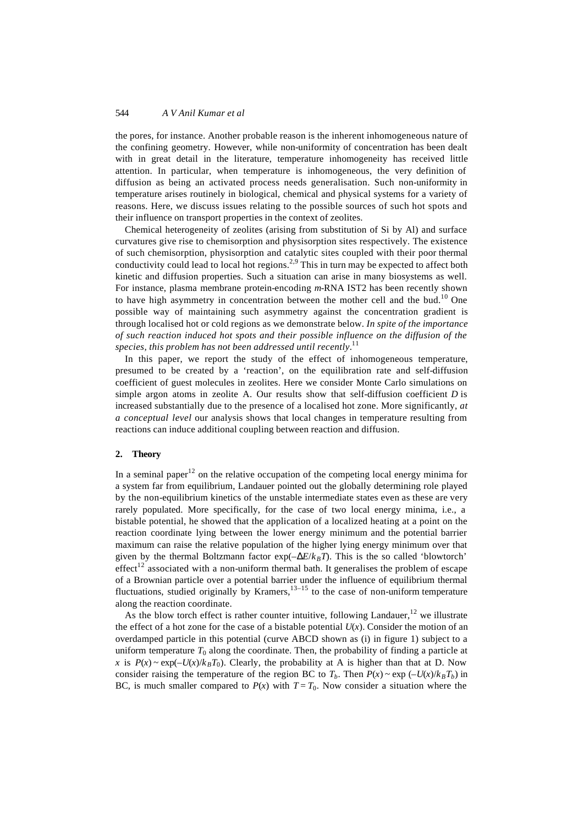the pores, for instance. Another probable reason is the inherent inhomogeneous nature of the confining geometry. However, while non-uniformity of concentration has been dealt with in great detail in the literature, temperature inhomogeneity has received little attention. In particular, when temperature is inhomogeneous, the very definition of diffusion as being an activated process needs generalisation. Such non-uniformity in temperature arises routinely in biological, chemical and physical systems for a variety of reasons. Here, we discuss issues relating to the possible sources of such hot spots and their influence on transport properties in the context of zeolites.

Chemical heterogeneity of zeolites (arising from substitution of Si by Al) and surface curvatures give rise to chemisorption and physisorption sites respectively. The existence of such chemisorption, physisorption and catalytic sites coupled with their poor thermal conductivity could lead to local hot regions.<sup>2,9</sup> This in turn may be expected to affect both kinetic and diffusion properties. Such a situation can arise in many biosystems as well. For instance, plasma membrane protein-encoding *m*-RNA IST2 has been recently shown to have high asymmetry in concentration between the mother cell and the bud.<sup>10</sup> One possible way of maintaining such asymmetry against the concentration gradient is through localised hot or cold regions as we demonstrate below. *In spite of the importance of such reaction induced hot spots and their possible influence on the diffusion of the species, this problem has not been addressed until recently*. 11

In this paper, we report the study of the effect of inhomogeneous temperature, presumed to be created by a 'reaction', on the equilibration rate and self-diffusion coefficient of guest molecules in zeolites. Here we consider Monte Carlo simulations on simple argon atoms in zeolite A. Our results show that self-diffusion coefficient *D* is increased substantially due to the presence of a localised hot zone. More significantly, *at a conceptual level* our analysis shows that local changes in temperature resulting from reactions can induce additional coupling between reaction and diffusion.

#### **2. Theory**

In a seminal paper<sup>12</sup> on the relative occupation of the competing local energy minima for a system far from equilibrium, Landauer pointed out the globally determining role played by the non-equilibrium kinetics of the unstable intermediate states even as these are very rarely populated. More specifically, for the case of two local energy minima, i.e., a bistable potential, he showed that the application of a localized heating at a point on the reaction coordinate lying between the lower energy minimum and the potential barrier maximum can raise the relative population of the higher lying energy minimum over that given by the thermal Boltzmann factor  $exp(-\Delta E/k_B T)$ . This is the so called 'blowtorch' effect<sup>12</sup> associated with a non-uniform thermal bath. It generalises the problem of escape of a Brownian particle over a potential barrier under the influence of equilibrium thermal fluctuations, studied originally by Kramers, $13-15$  to the case of non-uniform temperature along the reaction coordinate.

As the blow torch effect is rather counter intuitive, following Landauer, $^{12}$  we illustrate the effect of a hot zone for the case of a bistable potential  $U(x)$ . Consider the motion of an overdamped particle in this potential (curve ABCD shown as (i) in figure 1) subject to a uniform temperature  $T_0$  along the coordinate. Then, the probability of finding a particle at *x* is  $P(x) \sim \exp(-U(x)/k_B T_0)$ . Clearly, the probability at A is higher than that at D. Now consider raising the temperature of the region BC to  $T_b$ . Then  $P(x) \sim \exp(-U(x)/k_B T_b)$  in BC, is much smaller compared to  $P(x)$  with  $T = T_0$ . Now consider a situation where the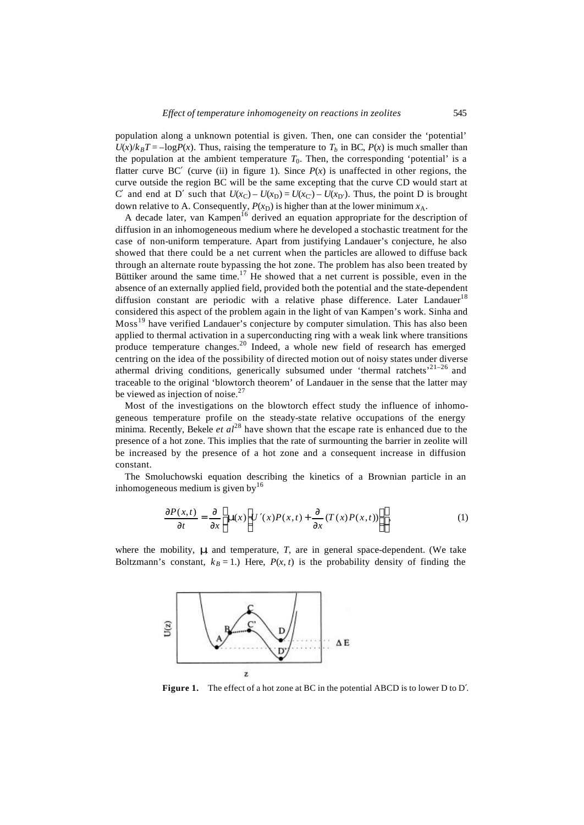population along a unknown potential is given. Then, one can consider the 'potential'  $U(x)/k_B T = -\log P(x)$ . Thus, raising the temperature to  $T_b$  in BC,  $P(x)$  is much smaller than the population at the ambient temperature  $T_0$ . Then, the corresponding 'potential' is a flatter curve BC $\prime$  (curve (ii) in figure 1). Since  $P(x)$  is unaffected in other regions, the curve outside the region BC will be the same excepting that the curve CD would start at C' and end at D' such that  $U(x_C) - U(x_D) = U(x_C) - U(x_D)$ . Thus, the point D is brought down relative to A. Consequently,  $P(x_D)$  is higher than at the lower minimum  $x_A$ .

A decade later, van Kampen<sup>16</sup> derived an equation appropriate for the description of diffusion in an inhomogeneous medium where he developed a stochastic treatment for the case of non-uniform temperature. Apart from justifying Landauer's conjecture, he also showed that there could be a net current when the particles are allowed to diffuse back through an alternate route bypassing the hot zone. The problem has also been treated by Büttiker around the same time.<sup>17</sup> He showed that a net current is possible, even in the absence of an externally applied field, provided both the potential and the state-dependent diffusion constant are periodic with a relative phase difference. Later Landauer<sup>18</sup> considered this aspect of the problem again in the light of van Kampen's work. Sinha and Moss<sup>19</sup> have verified Landauer's conjecture by computer simulation. This has also been applied to thermal activation in a superconducting ring with a weak link where transitions produce temperature changes.<sup>20</sup> Indeed, a whole new field of research has emerged centring on the idea of the possibility of directed motion out of noisy states under diverse athermal driving conditions, generically subsumed under 'thermal ratchets'<sup>21-26</sup> and traceable to the original 'blowtorch theorem' of Landauer in the sense that the latter may be viewed as injection of noise.<sup>27</sup>

Most of the investigations on the blowtorch effect study the influence of inhomogeneous temperature profile on the steady-state relative occupations of the energy minima. Recently, Bekele *et al*<sup>28</sup> have shown that the escape rate is enhanced due to the presence of a hot zone. This implies that the rate of surmounting the barrier in zeolite will be increased by the presence of a hot zone and a consequent increase in diffusion constant.

The Smoluchowski equation describing the kinetics of a Brownian particle in an inhomogeneous medium is given by $16$ 

$$
\frac{\partial P(x,t)}{\partial t} = \frac{\partial}{\partial x} \left[ \mathbf{m}(x) \left[ U'(x) P(x,t) + \frac{\partial}{\partial x} (T(x) P(x,t)) \right] \right],\tag{1}
$$

where the mobility,  $\boldsymbol{m}$  and temperature,  $T$ , are in general space-dependent. (We take Boltzmann's constant,  $k_B = 1$ .) Here,  $P(x, t)$  is the probability density of finding the



**Figure 1.** The effect of a hot zone at BC in the potential ABCD is to lower D to D′.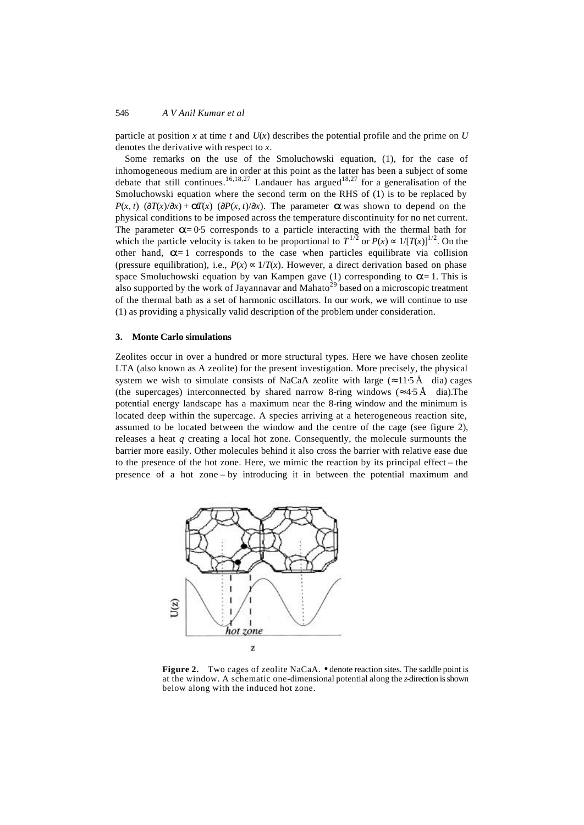particle at position *x* at time *t* and  $U(x)$  describes the potential profile and the prime on *U* denotes the derivative with respect to *x*.

Some remarks on the use of the Smoluchowski equation, (1), for the case of inhomogeneous medium are in order at this point as the latter has been a subject of some debate that still continues.<sup>16,18,27</sup> Landauer has argued<sup>18,27</sup> for a generalisation of the Smoluchowski equation where the second term on the RHS of (1) is to be replaced by *P*(*x*, *t*) (∂*T*(*x*)/∂*x*) + *aI*(*x*) (∂*P*(*x*, *t*)/∂*x*). The parameter *a* was shown to depend on the physical conditions to be imposed across the temperature discontinuity for no net current. The parameter *a*= 0⋅5 corresponds to a particle interacting with the thermal bath for which the particle velocity is taken to be proportional to  $T^{1/2}$  or  $P(x) \propto 1/[T(x)]^{1/2}$ . On the other hand,  $a=1$  corresponds to the case when particles equilibrate via collision (pressure equilibration), i.e.,  $P(x) \propto 1/T(x)$ . However, a direct derivation based on phase space Smoluchowski equation by van Kampen gave (1) corresponding to *a*= 1. This is also supported by the work of Jayannavar and Mahato<sup>29</sup> based on a microscopic treatment of the thermal bath as a set of harmonic oscillators. In our work, we will continue to use (1) as providing a physically valid description of the problem under consideration.

#### **3. Monte Carlo simulations**

Zeolites occur in over a hundred or more structural types. Here we have chosen zeolite LTA (also known as A zeolite) for the present investigation. More precisely, the physical system we wish to simulate consists of NaCaA zeolite with large ( $\approx$  11⋅5 Å dia) cages (the supercages) interconnected by shared narrow 8-ring windows ( $\approx$  4.5 Å dia). The potential energy landscape has a maximum near the 8-ring window and the minimum is located deep within the supercage. A species arriving at a heterogeneous reaction site, assumed to be located between the window and the centre of the cage (see figure 2), releases a heat *q* creating a local hot zone. Consequently, the molecule surmounts the barrier more easily. Other molecules behind it also cross the barrier with relative ease due to the presence of the hot zone. Here, we mimic the reaction by its principal effect – the presence of a hot zone – by introducing it in between the potential maximum and



**Figure 2.** Two cages of zeolite NaCaA. • denote reaction sites. The saddle point is at the window. A schematic one-dimensional potential along the *z*-direction is shown below along with the induced hot zone.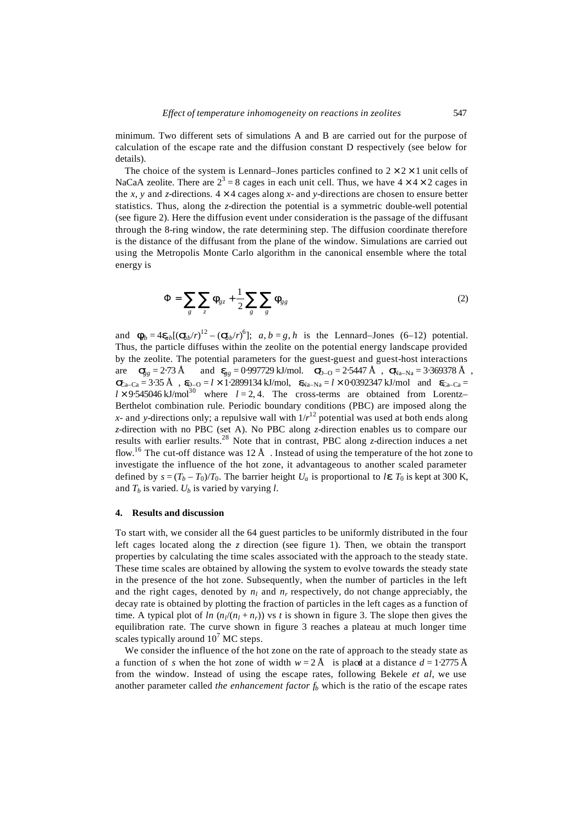minimum. Two different sets of simulations A and B are carried out for the purpose of calculation of the escape rate and the diffusion constant D respectively (see below for details).

The choice of the system is Lennard–Jones particles confined to  $2 \times 2 \times 1$  unit cells of NaCaA zeolite. There are  $2^3 = 8$  cages in each unit cell. Thus, we have  $4 \times 4 \times 2$  cages in the *x*, *y* and *z*-directions.  $4 \times 4$  cages along *x*- and *y*-directions are chosen to ensure better statistics. Thus, along the *z*-direction the potential is a symmetric double-well potential (see figure 2). Here the diffusion event under consideration is the passage of the diffusant through the 8-ring window, the rate determining step. The diffusion coordinate therefore is the distance of the diffusant from the plane of the window. Simulations are carried out using the Metropolis Monte Carlo algorithm in the canonical ensemble where the total energy is

$$
\Phi = \sum_{g} \sum_{z} \boldsymbol{f}_{gz} + \frac{1}{2} \sum_{g} \sum_{g} \boldsymbol{f}_{gg} \tag{2}
$$

and  $f_{ab} = 4\mathbf{e}_{ab}[(\mathbf{s}_{ab}/r)^{12} - (\mathbf{s}_{ab}/r)^6]; \ a, b = g, h$  is the Lennard–Jones (6–12) potential. Thus, the particle diffuses within the zeolite on the potential energy landscape provided by the zeolite. The potential parameters for the guest-guest and guest-host interactions are  $S_{gg} = 2.73 \text{ Å}$  and  $C_{gg} = 0.997729 \text{ kJ/mol}$ .  $S_{0-0} = 2.5447 \text{ Å}$ ,  $S_{Na-Na} = 3.369378 \text{ Å}$ ,  $\mathbf{S}_{a-Ca} = 3.35 \text{ Å}$ ,  $\mathbf{e}_{0-0} = l \times 1.2899134 \text{ kJ/mol}$ ,  $\mathbf{e}_{\text{Na-Na}} = l \times 0.0392347 \text{ kJ/mol}$  and  $\mathbf{e}_{\text{Ca-Ca}} =$  $l \times 9.545046 \text{ kJ/mol}^{30}$  where  $l = 2, 4$ . The cross-terms are obtained from Lorentz– Berthelot combination rule. Periodic boundary conditions (PBC) are imposed along the *x*- and *y*-directions only; a repulsive wall with  $1/r^{12}$  potential was used at both ends along *z*-direction with no PBC (set A). No PBC along *z*-direction enables us to compare our results with earlier results.<sup>28</sup> Note that in contrast, PBC along *z*-direction induces a net flow.<sup>16</sup> The cut-off distance was 12  $\AA$ . Instead of using the temperature of the hot zone to investigate the influence of the hot zone, it advantageous to another scaled parameter defined by  $s = (T_b - T_0)/T_0$ . The barrier height  $U_a$  is proportional to *le*.  $T_0$  is kept at 300 K, and  $T_b$  is varied.  $U_b$  is varied by varying *l*.

#### **4. Results and discussion**

To start with, we consider all the 64 guest particles to be uniformly distributed in the four left cages located along the  $z$  direction (see figure 1). Then, we obtain the transport properties by calculating the time scales associated with the approach to the steady state. These time scales are obtained by allowing the system to evolve towards the steady state in the presence of the hot zone. Subsequently, when the number of particles in the left and the right cages, denoted by  $n_l$  and  $n_r$  respectively, do not change appreciably, the decay rate is obtained by plotting the fraction of particles in the left cages as a function of time. A typical plot of  $ln (n_l/(n_l + n_r))$  vs *t* is shown in figure 3. The slope then gives the equilibration rate. The curve shown in figure 3 reaches a plateau at much longer time scales typically around  $10^7$  MC steps.

We consider the influence of the hot zone on the rate of approach to the steady state as a function of *s* when the hot zone of width  $w = 2 \text{ Å}$  is placed at a distance  $d = 1.2775 \text{ Å}$ from the window. Instead of using the escape rates, following Bekele *et al*, we use another parameter called *the enhancement factor*  $f<sub>b</sub>$  which is the ratio of the escape rates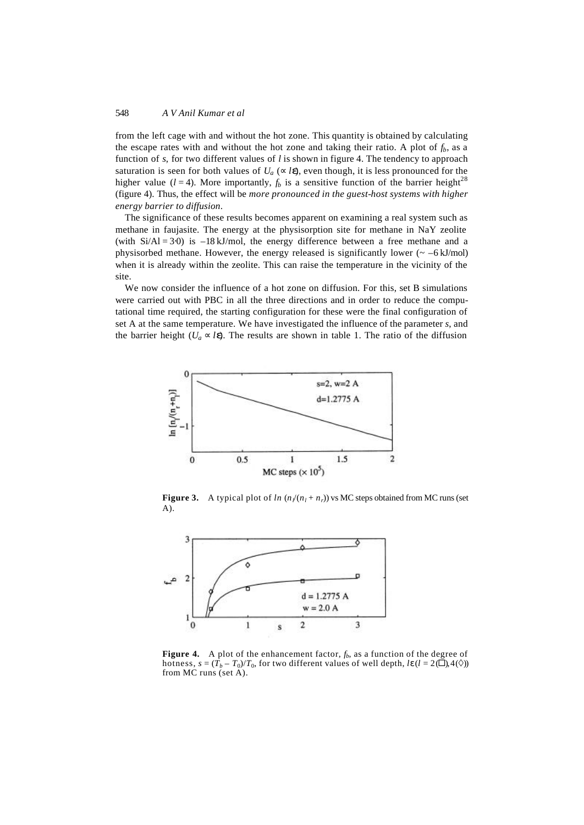from the left cage with and without the hot zone. This quantity is obtained by calculating the escape rates with and without the hot zone and taking their ratio. A plot of  $f_b$ , as a function of *s*, for two different values of *l* is shown in figure 4. The tendency to approach saturation is seen for both values of  $U_a$  ( $\propto l\mathbf{e}$ ), even though, it is less pronounced for the higher value ( $l = 4$ ). More importantly,  $f_b$  is a sensitive function of the barrier height<sup>28</sup> (figure 4). Thus, the effect will be *more pronounced in the guest-host systems with higher energy barrier to diffusion*.

The significance of these results becomes apparent on examining a real system such as methane in faujasite. The energy at the physisorption site for methane in NaY zeolite (with  $Si/Al = 3·0$ ) is  $-18 kJ/mol$ , the energy difference between a free methane and a physisorbed methane. However, the energy released is significantly lower  $(-6 \text{ kJ/mol})$ when it is already within the zeolite. This can raise the temperature in the vicinity of the site.

We now consider the influence of a hot zone on diffusion. For this, set B simulations were carried out with PBC in all the three directions and in order to reduce the computational time required, the starting configuration for these were the final configuration of set A at the same temperature. We have investigated the influence of the parameter *s*, and the barrier height ( $U_a \propto l\mathbf{e}$ ). The results are shown in table 1. The ratio of the diffusion



**Figure 3.** A typical plot of  $ln (n/(n<sub>l</sub> + n<sub>r</sub>))$  vs MC steps obtained from MC runs (set A).



**Figure 4.** A plot of the enhancement factor, *fb*, as a function of the degree of hotness,  $s = (\hat{T}_b - T_0)/T_0$ , for two different values of well depth,  $l\mathbf{e}(l = 2(\vec{\square}), 4(\Diamond))$ from MC runs (set A).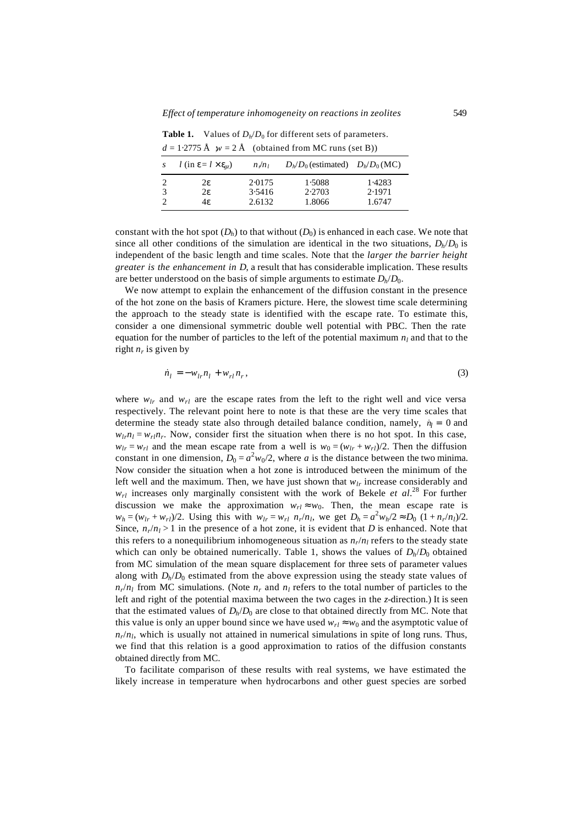|   |                               | $a = 1/2/7$ $\rightarrow$ $N = 2$ A (obtained from MC runs (set B)) |                                     |        |  |
|---|-------------------------------|---------------------------------------------------------------------|-------------------------------------|--------|--|
|   | l (in $e = l \times e_{27}$ ) | $n/n_i$                                                             | $D_h/D_0$ (estimated) $D_h/D_0(MC)$ |        |  |
|   | 2e                            | 2.0175                                                              | 1.5088                              | 1.4283 |  |
| 3 | 2e                            | 3.5416                                                              | 2.2703                              | 2.1971 |  |
|   | 4е                            | 2.6132                                                              | 1.8066                              | 1.6747 |  |

**Table 1.** Values of  $D_h/D_0$  for different sets of parameters.  $d = 1.2775 \text{ Å}$  *w = 2 Å* (obtained from MC runs (set B))

constant with the hot spot  $(D_h)$  to that without  $(D_0)$  is enhanced in each case. We note that since all other conditions of the simulation are identical in the two situations,  $D_h/D_0$  is independent of the basic length and time scales. Note that the *larger the barrier height greater is the enhancement in D*, a result that has considerable implication. These results are better understood on the basis of simple arguments to estimate  $D_h/D_0$ .

We now attempt to explain the enhancement of the diffusion constant in the presence of the hot zone on the basis of Kramers picture. Here, the slowest time scale determining the approach to the steady state is identified with the escape rate. To estimate this, consider a one dimensional symmetric double well potential with PBC. Then the rate equation for the number of particles to the left of the potential maximum  $n_l$  and that to the right  $n_r$  is given by

$$
\dot{n}_l = -w_{lr} n_l + w_{rl} n_r,\tag{3}
$$

where  $w_{lr}$  and  $w_{rl}$  are the escape rates from the left to the right well and vice versa respectively. The relevant point here to note is that these are the very time scales that determine the steady state also through detailed balance condition, namely,  $\dot{n}_l = 0$  and  $w_l r_l = w_r r_l r_r$ . Now, consider first the situation when there is no hot spot. In this case,  $w_l = w_{rl}$  and the mean escape rate from a well is  $w_0 = (w_{lr} + w_{rl})/2$ . Then the diffusion constant in one dimension,  $D_0 = a^2 w_0/2$ , where *a* is the distance between the two minima. Now consider the situation when a hot zone is introduced between the minimum of the left well and the maximum. Then, we have just shown that *wlr* increase considerably and  $w_{rl}$  increases only marginally consistent with the work of Bekele *et al.*<sup>28</sup> For further discussion we make the approximation  $w_{rl} \approx w_0$ . Then, the mean escape rate is  $w_h = (w_{lr} + w_{rl})/2$ . Using this with  $w_{lr} = w_{rl} n_r/n_l$ , we get  $D_h = a^2 w_h/2 \approx D_0 (1 + n_r/n_l)/2$ . Since,  $n_r/n_l > 1$  in the presence of a hot zone, it is evident that *D* is enhanced. Note that this refers to a nonequilibrium inhomogeneous situation as *n<sup>r</sup>* /*nl* refers to the steady state which can only be obtained numerically. Table 1, shows the values of  $D_h/D_0$  obtained from MC simulation of the mean square displacement for three sets of parameter values along with  $D_h/D_0$  estimated from the above expression using the steady state values of  $n_r/n_l$  from MC simulations. (Note  $n_r$  and  $n_l$  refers to the total number of particles to the left and right of the potential maxima between the two cages in the *z*-direction.) It is seen that the estimated values of  $D_h/D_0$  are close to that obtained directly from MC. Note that this value is only an upper bound since we have used  $w_{rl} \approx w_0$  and the asymptotic value of  $n_r/n_l$ , which is usually not attained in numerical simulations in spite of long runs. Thus, we find that this relation is a good approximation to ratios of the diffusion constants obtained directly from MC.

To facilitate comparison of these results with real systems, we have estimated the likely increase in temperature when hydrocarbons and other guest species are sorbed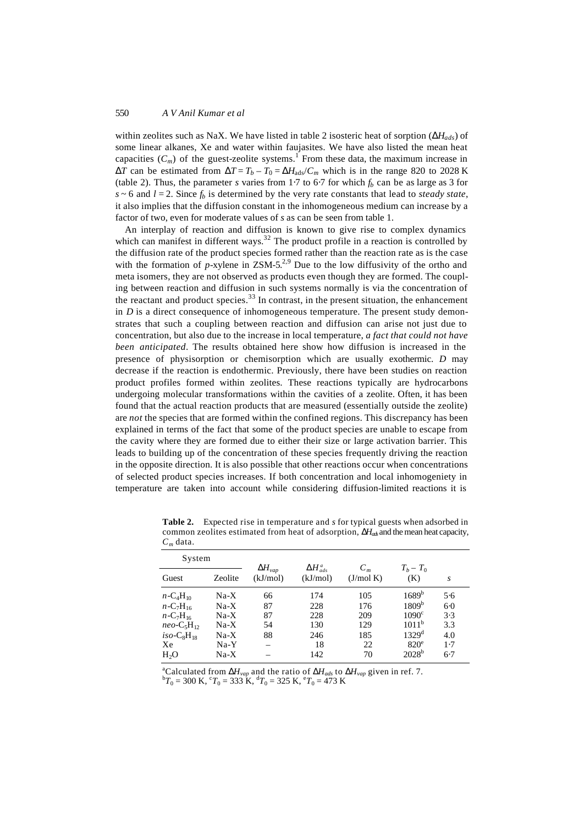within zeolites such as NaX. We have listed in table 2 isosteric heat of sorption (Δ*Hads*) of some linear alkanes, Xe and water within faujasites. We have also listed the mean heat capacities  $(C_m)$  of the guest-zeolite systems.<sup>1</sup> From these data, the maximum increase in  $\Delta T$  can be estimated from  $\Delta T = T_b - T_0 = \Delta H_{ads}/C_m$  which is in the range 820 to 2028 K (table 2). Thus, the parameter *s* varies from 1⋅7 to 6⋅7 for which  $f<sub>b</sub>$  can be as large as 3 for  $s \sim 6$  and  $l = 2$ . Since  $f_b$  is determined by the very rate constants that lead to *steady state*, it also implies that the diffusion constant in the inhomogeneous medium can increase by a factor of two, even for moderate values of *s* as can be seen from table 1.

An interplay of reaction and diffusion is known to give rise to complex dynamics which can manifest in different ways.<sup>32</sup> The product profile in a reaction is controlled by the diffusion rate of the product species formed rather than the reaction rate as is the case with the formation of  $p$ -xylene in ZSM-5<sup>2,9</sup> Due to the low diffusivity of the ortho and meta isomers, they are not observed as products even though they are formed. The coupling between reaction and diffusion in such systems normally is via the concentration of the reactant and product species.<sup>33</sup> In contrast, in the present situation, the enhancement in *D* is a direct consequence of inhomogeneous temperature. The present study demonstrates that such a coupling between reaction and diffusion can arise not just due to concentration, but also due to the increase in local temperature, *a fact that could not have been anticipated*. The results obtained here show how diffusion is increased in the presence of physisorption or chemisorption which are usually exothermic. *D* may decrease if the reaction is endothermic. Previously, there have been studies on reaction product profiles formed within zeolites. These reactions typically are hydrocarbons undergoing molecular transformations within the cavities of a zeolite. Often, it has been found that the actual reaction products that are measured (essentially outside the zeolite) are *not* the species that are formed within the confined regions. This discrepancy has been explained in terms of the fact that some of the product species are unable to escape from the cavity where they are formed due to either their size or large activation barrier. This leads to building up of the concentration of these species frequently driving the reaction in the opposite direction. It is also possible that other reactions occur when concentrations of selected product species increases. If both concentration and local inhomogeniety in temperature are taken into account while considering diffusion-limited reactions it is

| System           |         |                              |                                |                    |                     |       |
|------------------|---------|------------------------------|--------------------------------|--------------------|---------------------|-------|
| Guest            | Zeolite | $\Delta H_{vap}$<br>(kJ/mol) | $\Delta H^a_{ads}$<br>(kJ/mol) | $C_m$<br>(J/mol K) | $T_h - T_0$<br>(K)  | S     |
| $n - C_4H_{10}$  | $Na-X$  | 66                           | 174                            | 105                | 1689 <sup>b</sup>   | 5.6   |
| $n - C_7H_{16}$  | $Na-X$  | 87                           | 228                            | 176                | 1809 <sup>b</sup>   | $6-0$ |
| $n - C_7H_{16}$  | $Na-X$  | 87                           | 228                            | 209                | $1090^{\circ}$      | 3.3   |
| $neo-C5H12$      | $Na-X$  | 54                           | 130                            | 129                | 1011 <sup>b</sup>   | 3.3   |
| $iso-C_8H_{18}$  | $Na-X$  | 88                           | 246                            | 185                | $1329$ <sup>d</sup> | 4.0   |
| Xe               | Na-Y    |                              | 18                             | 22                 | 820 <sup>e</sup>    | 1.7   |
| H <sub>2</sub> O | Na-X    |                              | 142                            | 70                 | $2028^{b}$          | $6-7$ |

**Table 2.** Expected rise in temperature and *s* for typical guests when adsorbed in common zeolites estimated from heat of adsorption, ΔH<sub>at</sub> and the mean heat capacity, *Cm* data.

<sup>a</sup>Calculated from  $\Delta H_{vap}$  and the ratio of  $\Delta H_{ads}$  to  $\Delta H_{vap}$  given in ref. 7.  ${}^{b}T_{0}$  = 300 K, <sup>c</sup>T<sub>0</sub> = 333 K, <sup>d</sup>T<sub>0</sub> = 325 K, <sup>e</sup>T<sub>0</sub> = 473 K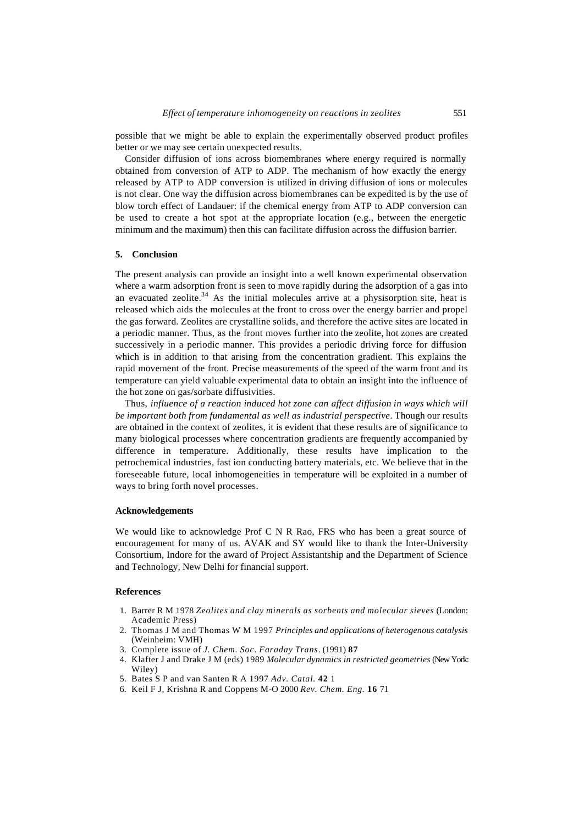possible that we might be able to explain the experimentally observed product profiles better or we may see certain unexpected results.

Consider diffusion of ions across biomembranes where energy required is normally obtained from conversion of ATP to ADP. The mechanism of how exactly the energy released by ATP to ADP conversion is utilized in driving diffusion of ions or molecules is not clear. One way the diffusion across biomembranes can be expedited is by the use of blow torch effect of Landauer: if the chemical energy from ATP to ADP conversion can be used to create a hot spot at the appropriate location (e.g., between the energetic minimum and the maximum) then this can facilitate diffusion across the diffusion barrier.

#### **5. Conclusion**

The present analysis can provide an insight into a well known experimental observation where a warm adsorption front is seen to move rapidly during the adsorption of a gas into an evacuated zeolite.<sup>34</sup> As the initial molecules arrive at a physisorption site, heat is released which aids the molecules at the front to cross over the energy barrier and propel the gas forward. Zeolites are crystalline solids, and therefore the active sites are located in a periodic manner. Thus, as the front moves further into the zeolite, hot zones are created successively in a periodic manner. This provides a periodic driving force for diffusion which is in addition to that arising from the concentration gradient. This explains the rapid movement of the front. Precise measurements of the speed of the warm front and its temperature can yield valuable experimental data to obtain an insight into the influence of the hot zone on gas/sorbate diffusivities.

Thus, *influence of a reaction induced hot zone can affect diffusion in ways which will be important both from fundamental as well as industrial perspective*. Though our results are obtained in the context of zeolites, it is evident that these results are of significance to many biological processes where concentration gradients are frequently accompanied by difference in temperature. Additionally, these results have implication to the petrochemical industries, fast ion conducting battery materials, etc. We believe that in the foreseeable future, local inhomogeneities in temperature will be exploited in a number of ways to bring forth novel processes.

#### **Acknowledgements**

We would like to acknowledge Prof C N R Rao, FRS who has been a great source of encouragement for many of us. AVAK and SY would like to thank the Inter-University Consortium, Indore for the award of Project Assistantship and the Department of Science and Technology, New Delhi for financial support.

#### **References**

- 1. Barrer R M 1978 *Zeolites and clay minerals as sorbents and molecular sieves* (London: Academic Press)
- 2. Thomas J M and Thomas W M 1997 *Principles and applications of heterogenous catalysis* (Weinheim: VMH)
- 3. Complete issue of *J. Chem. Soc. Faraday Trans*. (1991) **87**
- 4. Klafter J and Drake J M (eds) 1989 *Molecular dynamics in restricted geometries* (New York: Wiley)
- 5. Bates S P and van Santen R A 1997 *Adv. Catal.* **42** 1
- 6. Keil F J, Krishna R and Coppens M-O 2000 *Rev. Chem. Eng.* **16** 71